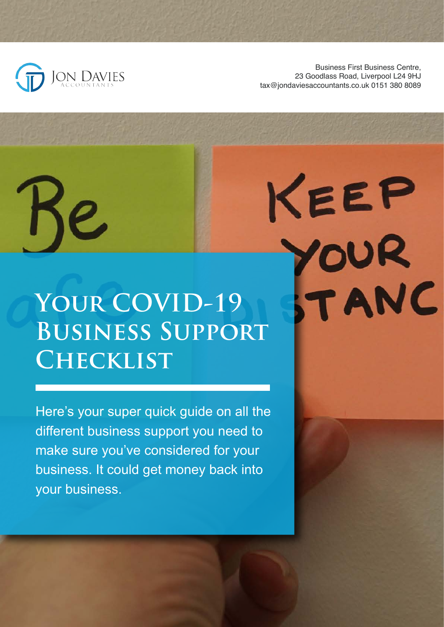

Business First Business Centre, 23 Goodlass Road, Liverpool L24 9HJ tax@jondaviesaccountants.co.uk 0151 380 8089

KEEP

OUR

TANC

# **Your COVID-19 Business Support Checklist**

Here's your super quick guide on all the different business support you need to make sure you've considered for your business. It could get money back into your business.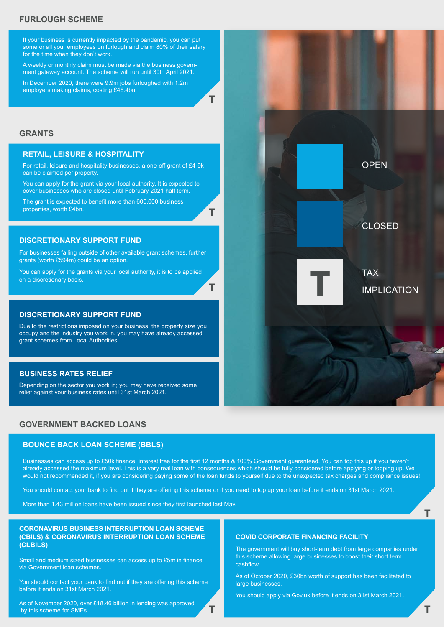# **FURLOUGH SCHEME**

If your business is currently impacted by the pandemic, you can put some or all your employees on furlough and claim 80% of their salary for the time when they don't work.

A weekly or monthly claim must be made via the business government gateway account. The scheme will run until 30th April 2021.

In December 2020, there were 9.9m jobs furloughed with 1.2m employers making claims, costing £46.4bn.

**T**

**T**

**T**

## **GRANTS**

#### **RETAIL, LEISURE & HOSPITALITY**

For retail, leisure and hospitality businesses, a one-off grant of £4-9k can be claimed per property.

You can apply for the grant via your local authority. It is expected to cover businesses who are closed until February 2021 half term.

The grant is expected to benefit more than 600,000 business properties, worth £4bn.

**DISCRETIONARY SUPPORT FUND**

For businesses falling outside of other available grant schemes, further grants (worth £594m) could be an option.

You can apply for the grants via your local authority, it is to be applied on a discretionary basis.

#### **DISCRETIONARY SUPPORT FUND**

Due to the restrictions imposed on your business, the property size you occupy and the industry you work in, you may have already accessed grant schemes from Local Authorities.

#### **BUSINESS RATES RELIEF**

Depending on the sector you work in; you may have received some relief against your business rates until 31st March 2021.

## **GOVERNMENT BACKED LOANS**

#### **BOUNCE BACK LOAN SCHEME (BBLS)**

Businesses can access up to £50k finance, interest free for the first 12 months & 100% Government guaranteed. You can top this up if you haven't already accessed the maximum level. This is a very real loan with consequences which should be fully considered before applying or topping up. We would not recommended it, if you are considering paying some of the loan funds to yourself due to the unexpected tax charges and compliance issues!

You should contact your bank to find out if they are offering this scheme or if you need to top up your loan before it ends on 31st March 2021.

**T**

More than 1.43 million loans have been issued since they first launched last May.

#### **CORONAVIRUS BUSINESS INTERRUPTION LOAN SCHEME (CBILS) & CORONAVIRUS INTERRUPTION LOAN SCHEME (CLBILS)**

Small and medium sized businesses can access up to £5m in finance via Government loan schemes.

You should contact your bank to find out if they are offering this scheme before it ends on 31st March 2021.



The government will buy short-term debt from large companies under this scheme allowing large businesses to boost their short term cashflow.

As of October 2020, £30bn worth of support has been facilitated to large businesses.

You should apply via Gov.uk before it ends on 31st March 2021.

CLOSED

OPEN

TAX<br>**IMPLICATION** 

**T**

As of November 2020, over £18.46 billion in lending was approved by this scheme for SMEs.